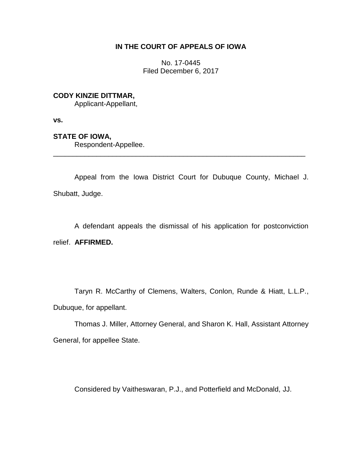# **IN THE COURT OF APPEALS OF IOWA**

No. 17-0445 Filed December 6, 2017

### **CODY KINZIE DITTMAR,**

Applicant-Appellant,

**vs.**

# **STATE OF IOWA,**

Respondent-Appellee.

Appeal from the Iowa District Court for Dubuque County, Michael J. Shubatt, Judge.

\_\_\_\_\_\_\_\_\_\_\_\_\_\_\_\_\_\_\_\_\_\_\_\_\_\_\_\_\_\_\_\_\_\_\_\_\_\_\_\_\_\_\_\_\_\_\_\_\_\_\_\_\_\_\_\_\_\_\_\_\_\_\_\_

A defendant appeals the dismissal of his application for postconviction relief. **AFFIRMED.**

Taryn R. McCarthy of Clemens, Walters, Conlon, Runde & Hiatt, L.L.P., Dubuque, for appellant.

Thomas J. Miller, Attorney General, and Sharon K. Hall, Assistant Attorney General, for appellee State.

Considered by Vaitheswaran, P.J., and Potterfield and McDonald, JJ.